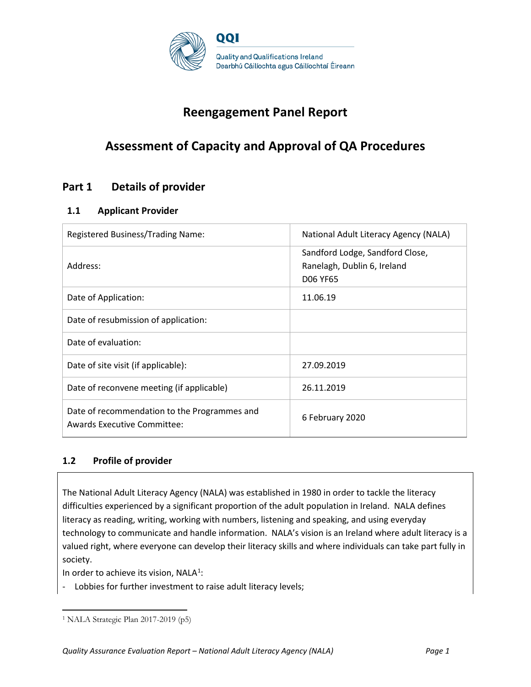

# **Reengagement Panel Report**

# **Assessment of Capacity and Approval of QA Procedures**

### **Part 1 Details of provider**

### **1.1 Applicant Provider**

| Registered Business/Trading Name:                                                  | National Adult Literacy Agency (NALA)                                             |
|------------------------------------------------------------------------------------|-----------------------------------------------------------------------------------|
| Address:                                                                           | Sandford Lodge, Sandford Close,<br>Ranelagh, Dublin 6, Ireland<br><b>D06 YF65</b> |
| Date of Application:                                                               | 11.06.19                                                                          |
| Date of resubmission of application:                                               |                                                                                   |
| Date of evaluation:                                                                |                                                                                   |
| Date of site visit (if applicable):                                                | 27.09.2019                                                                        |
| Date of reconvene meeting (if applicable)                                          | 26.11.2019                                                                        |
| Date of recommendation to the Programmes and<br><b>Awards Executive Committee:</b> | 6 February 2020                                                                   |

### **1.2 Profile of provider**

The National Adult Literacy Agency (NALA) was established in 1980 in order to tackle the literacy difficulties experienced by a significant proportion of the adult population in Ireland. NALA defines literacy as reading, writing, working with numbers, listening and speaking, and using everyday technology to communicate and handle information. NALA's vision is an Ireland where adult literacy is a valued right, where everyone can develop their literacy skills and where individuals can take part fully in society.

In order to achieve its vision,  $NALA^1$  $NALA^1$ :

Lobbies for further investment to raise adult literacy levels;

<span id="page-0-0"></span><sup>1</sup> NALA Strategic Plan 2017-2019 (p5)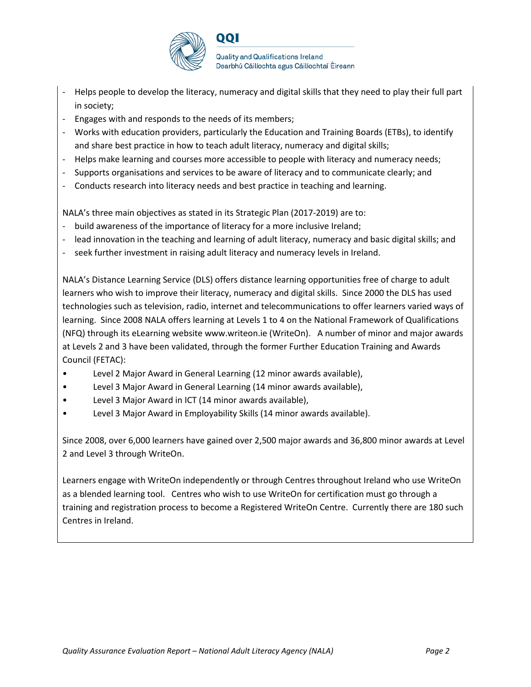

- Helps people to develop the literacy, numeracy and digital skills that they need to play their full part in society;
- Engages with and responds to the needs of its members;
- Works with education providers, particularly the Education and Training Boards (ETBs), to identify and share best practice in how to teach adult literacy, numeracy and digital skills;
- Helps make learning and courses more accessible to people with literacy and numeracy needs;
- Supports organisations and services to be aware of literacy and to communicate clearly; and
- Conducts research into literacy needs and best practice in teaching and learning.

QQI

NALA's three main objectives as stated in its Strategic Plan (2017-2019) are to:

- build awareness of the importance of literacy for a more inclusive Ireland;
- lead innovation in the teaching and learning of adult literacy, numeracy and basic digital skills; and
- seek further investment in raising adult literacy and numeracy levels in Ireland.

NALA's Distance Learning Service (DLS) offers distance learning opportunities free of charge to adult learners who wish to improve their literacy, numeracy and digital skills. Since 2000 the DLS has used technologies such as television, radio, internet and telecommunications to offer learners varied ways of learning. Since 2008 NALA offers learning at Levels 1 to 4 on the National Framework of Qualifications (NFQ) through its eLearning website www.writeon.ie (WriteOn). A number of minor and major awards at Levels 2 and 3 have been validated, through the former Further Education Training and Awards Council (FETAC):

- Level 2 Major Award in General Learning (12 minor awards available),
- Level 3 Major Award in General Learning (14 minor awards available),
- Level 3 Major Award in ICT (14 minor awards available),
- Level 3 Major Award in Employability Skills (14 minor awards available).

Since 2008, over 6,000 learners have gained over 2,500 major awards and 36,800 minor awards at Level 2 and Level 3 through WriteOn.

Learners engage with WriteOn independently or through Centres throughout Ireland who use WriteOn as a blended learning tool. Centres who wish to use WriteOn for certification must go through a training and registration process to become a Registered WriteOn Centre. Currently there are 180 such Centres in Ireland.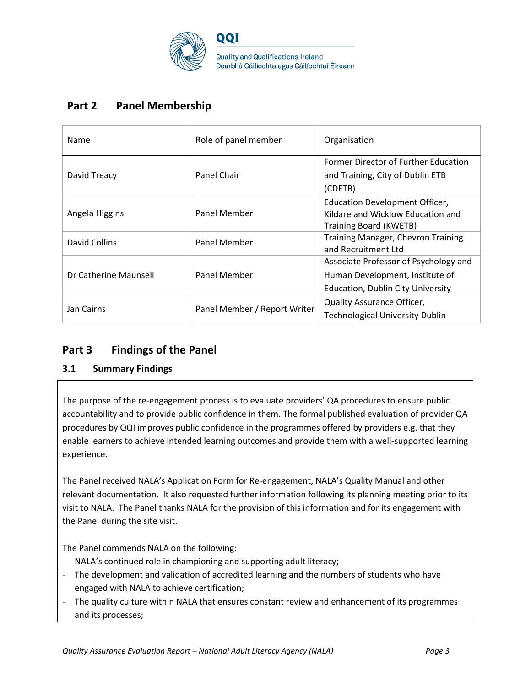

# **Part 2 Panel Membership**

| Name                  | Role of panel member         | Organisation                                                                                         |
|-----------------------|------------------------------|------------------------------------------------------------------------------------------------------|
| David Treacy          | Panel Chair                  | Former Director of Further Education<br>and Training, City of Dublin ETB                             |
|                       |                              | (CDETB)                                                                                              |
| Angela Higgins        | <b>Panel Member</b>          | <b>Education Development Officer,</b><br>Kildare and Wicklow Education and<br>Training Board (KWETB) |
| <b>David Collins</b>  | <b>Panel Member</b>          | Training Manager, Chevron Training<br>and Recruitment Ltd                                            |
|                       |                              | Associate Professor of Psychology and                                                                |
| Dr Catherine Maunsell | Panel Member                 | Human Development, Institute of                                                                      |
|                       |                              | <b>Education, Dublin City University</b>                                                             |
| Jan Cairns            | Panel Member / Report Writer | <b>Quality Assurance Officer,</b>                                                                    |
|                       |                              | <b>Technological University Dublin</b>                                                               |

# **Part 3 Findings of the Panel**

### **3.1 Summary Findings**

The purpose of the re-engagement process is to evaluate providers' QA procedures to ensure public accountability and to provide public confidence in them. The formal published evaluation of provider QA procedures by QQI improves public confidence in the programmes offered by providers e.g. that they enable learners to achieve intended learning outcomes and provide them with a well-supported learning experience.

The Panel received NALA's Application Form for Re-engagement, NALA's Quality Manual and other relevant documentation. It also requested further information following its planning meeting prior to its visit to NALA. The Panel thanks NALA for the provision of this information and for its engagement with the Panel during the site visit.

The Panel commends NALA on the following:

- NALA's continued role in championing and supporting adult literacy;
- The development and validation of accredited learning and the numbers of students who have engaged with NALA to achieve certification;
- The quality culture within NALA that ensures constant review and enhancement of its programmes and its processes;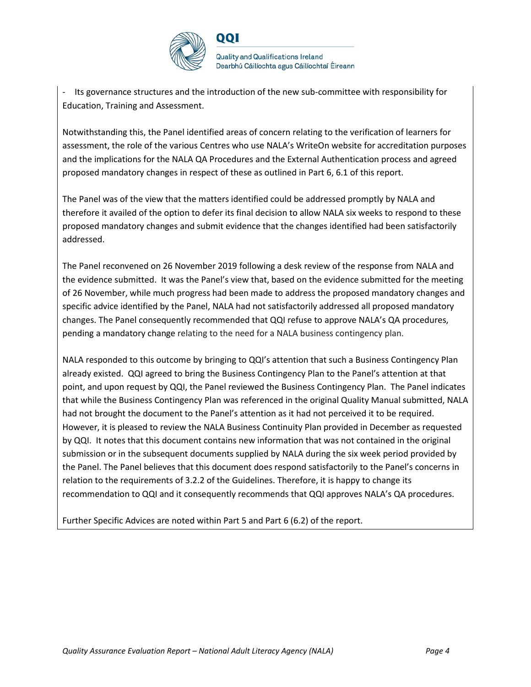

- Its governance structures and the introduction of the new sub-committee with responsibility for Education, Training and Assessment.

QQI

Notwithstanding this, the Panel identified areas of concern relating to the verification of learners for assessment, the role of the various Centres who use NALA's WriteOn website for accreditation purposes and the implications for the NALA QA Procedures and the External Authentication process and agreed proposed mandatory changes in respect of these as outlined in Part 6, 6.1 of this report.

The Panel was of the view that the matters identified could be addressed promptly by NALA and therefore it availed of the option to defer its final decision to allow NALA six weeks to respond to these proposed mandatory changes and submit evidence that the changes identified had been satisfactorily addressed.

The Panel reconvened on 26 November 2019 following a desk review of the response from NALA and the evidence submitted. It was the Panel's view that, based on the evidence submitted for the meeting of 26 November, while much progress had been made to address the proposed mandatory changes and specific advice identified by the Panel, NALA had not satisfactorily addressed all proposed mandatory changes. The Panel consequently recommended that QQI refuse to approve NALA's QA procedures, pending a mandatory change relating to the need for a NALA business contingency plan.

NALA responded to this outcome by bringing to QQI's attention that such a Business Contingency Plan already existed. QQI agreed to bring the Business Contingency Plan to the Panel's attention at that point, and upon request by QQI, the Panel reviewed the Business Contingency Plan. The Panel indicates that while the Business Contingency Plan was referenced in the original Quality Manual submitted, NALA had not brought the document to the Panel's attention as it had not perceived it to be required. However, it is pleased to review the NALA Business Continuity Plan provided in December as requested by QQI. It notes that this document contains new information that was not contained in the original submission or in the subsequent documents supplied by NALA during the six week period provided by the Panel. The Panel believes that this document does respond satisfactorily to the Panel's concerns in relation to the requirements of 3.2.2 of the Guidelines. Therefore, it is happy to change its recommendation to QQI and it consequently recommends that QQI approves NALA's QA procedures.

Further Specific Advices are noted within Part 5 and Part 6 (6.2) of the report.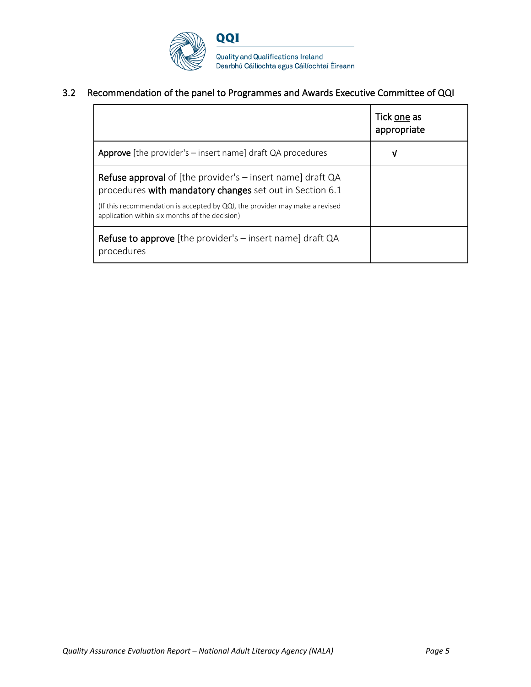

# 3.2 Recommendation of the panel to Programmes and Awards Executive Committee of QQI

|                                                                                                                                                                                                                                                                  | Tick one as<br>appropriate |
|------------------------------------------------------------------------------------------------------------------------------------------------------------------------------------------------------------------------------------------------------------------|----------------------------|
| <b>Approve</b> [the provider's $-$ insert name] draft QA procedures                                                                                                                                                                                              | ν                          |
| <b>Refuse approval</b> of [the provider's $-$ insert name] draft QA<br>procedures with mandatory changes set out in Section 6.1<br>(If this recommendation is accepted by QQI, the provider may make a revised<br>application within six months of the decision) |                            |
| Refuse to approve [the provider's - insert name] draft QA<br>procedures                                                                                                                                                                                          |                            |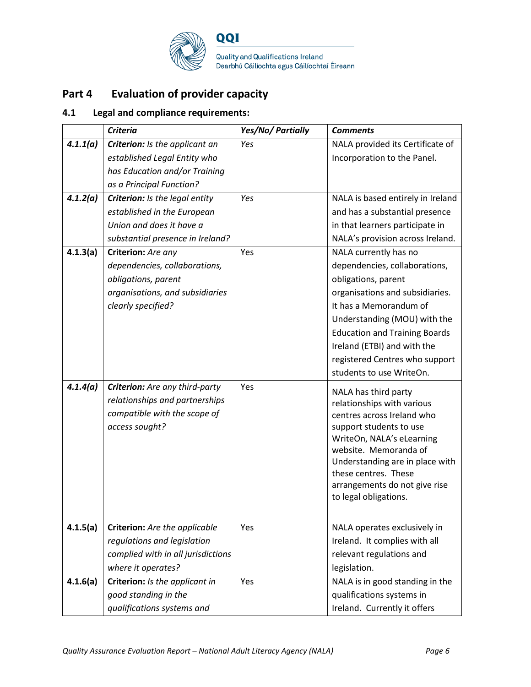

# **Part 4 Evaluation of provider capacity**

### **4.1 Legal and compliance requirements:**

|          | <b>Criteria</b>                    | Yes/No/ Partially | <b>Comments</b>                                    |
|----------|------------------------------------|-------------------|----------------------------------------------------|
| 4.1.1(a) | Criterion: Is the applicant an     | Yes               | NALA provided its Certificate of                   |
|          | established Legal Entity who       |                   | Incorporation to the Panel.                        |
|          | has Education and/or Training      |                   |                                                    |
|          | as a Principal Function?           |                   |                                                    |
| 4.1.2(a) | Criterion: Is the legal entity     | Yes               | NALA is based entirely in Ireland                  |
|          | established in the European        |                   | and has a substantial presence                     |
|          | Union and does it have a           |                   | in that learners participate in                    |
|          | substantial presence in Ireland?   |                   | NALA's provision across Ireland.                   |
| 4.1.3(a) | Criterion: Are any                 | Yes               | NALA currently has no                              |
|          | dependencies, collaborations,      |                   | dependencies, collaborations,                      |
|          | obligations, parent                |                   | obligations, parent                                |
|          | organisations, and subsidiaries    |                   | organisations and subsidiaries.                    |
|          | clearly specified?                 |                   | It has a Memorandum of                             |
|          |                                    |                   | Understanding (MOU) with the                       |
|          |                                    |                   | <b>Education and Training Boards</b>               |
|          |                                    |                   | Ireland (ETBI) and with the                        |
|          |                                    |                   | registered Centres who support                     |
|          |                                    |                   | students to use WriteOn.                           |
| 4.1.4(a) | Criterion: Are any third-party     | Yes               | NALA has third party                               |
|          | relationships and partnerships     |                   | relationships with various                         |
|          | compatible with the scope of       |                   | centres across Ireland who                         |
|          | access sought?                     |                   | support students to use                            |
|          |                                    |                   | WriteOn, NALA's eLearning<br>website. Memoranda of |
|          |                                    |                   | Understanding are in place with                    |
|          |                                    |                   | these centres. These                               |
|          |                                    |                   | arrangements do not give rise                      |
|          |                                    |                   | to legal obligations.                              |
|          |                                    |                   |                                                    |
| 4.1.5(a) | Criterion: Are the applicable      | Yes               | NALA operates exclusively in                       |
|          | regulations and legislation        |                   | Ireland. It complies with all                      |
|          | complied with in all jurisdictions |                   | relevant regulations and                           |
|          | where it operates?                 |                   | legislation.                                       |
| 4.1.6(a) | Criterion: Is the applicant in     | Yes               | NALA is in good standing in the                    |
|          | good standing in the               |                   | qualifications systems in                          |
|          | qualifications systems and         |                   | Ireland. Currently it offers                       |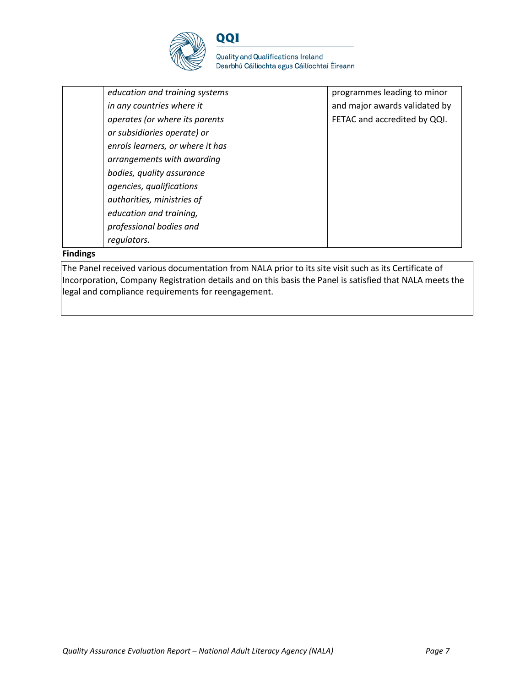

**Quality and Qualifications Ireland** Dearbhú Cáilíochta agus Cáilíochtaí Éireann

| education and training systems   | programmes leading to minor   |
|----------------------------------|-------------------------------|
| in any countries where it        | and major awards validated by |
| operates (or where its parents   | FETAC and accredited by QQI.  |
| or subsidiaries operate) or      |                               |
| enrols learners, or where it has |                               |
| arrangements with awarding       |                               |
| bodies, quality assurance        |                               |
| agencies, qualifications         |                               |
| authorities, ministries of       |                               |
| education and training,          |                               |
| professional bodies and          |                               |
| regulators.                      |                               |

#### **Findings**

The Panel received various documentation from NALA prior to its site visit such as its Certificate of Incorporation, Company Registration details and on this basis the Panel is satisfied that NALA meets the legal and compliance requirements for reengagement.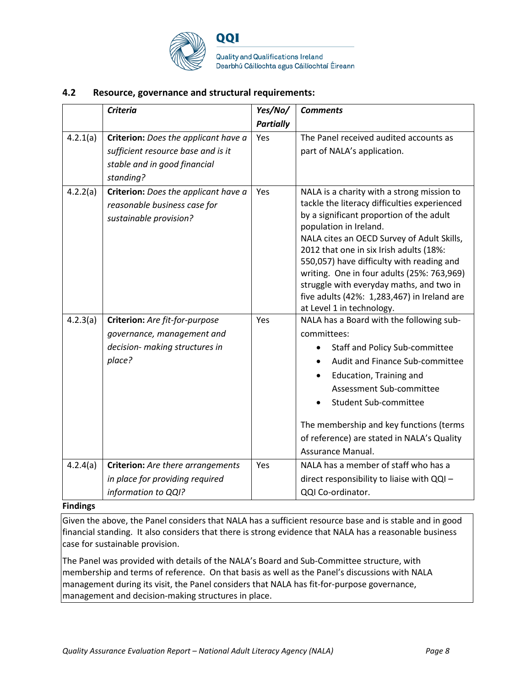

**Quality and Qualifications Ireland** Dearbhú Cáilíochta agus Cáilíochtaí Éireann

#### **4.2 Resource, governance and structural requirements:**

|          | <b>Criteria</b>                                                                                                         | Yes/No/          | <b>Comments</b>                                                                                                                                                                                                                                                                                                                                                                                                                                                              |
|----------|-------------------------------------------------------------------------------------------------------------------------|------------------|------------------------------------------------------------------------------------------------------------------------------------------------------------------------------------------------------------------------------------------------------------------------------------------------------------------------------------------------------------------------------------------------------------------------------------------------------------------------------|
|          |                                                                                                                         | <b>Partially</b> |                                                                                                                                                                                                                                                                                                                                                                                                                                                                              |
| 4.2.1(a) | Criterion: Does the applicant have a<br>sufficient resource base and is it<br>stable and in good financial<br>standing? | Yes              | The Panel received audited accounts as<br>part of NALA's application.                                                                                                                                                                                                                                                                                                                                                                                                        |
| 4.2.2(a) | Criterion: Does the applicant have a<br>reasonable business case for<br>sustainable provision?                          | Yes              | NALA is a charity with a strong mission to<br>tackle the literacy difficulties experienced<br>by a significant proportion of the adult<br>population in Ireland.<br>NALA cites an OECD Survey of Adult Skills,<br>2012 that one in six Irish adults (18%:<br>550,057) have difficulty with reading and<br>writing. One in four adults (25%: 763,969)<br>struggle with everyday maths, and two in<br>five adults (42%: 1,283,467) in Ireland are<br>at Level 1 in technology. |
| 4.2.3(a) | Criterion: Are fit-for-purpose<br>governance, management and<br>decision- making structures in<br>place?                | Yes              | NALA has a Board with the following sub-<br>committees:<br>Staff and Policy Sub-committee<br>٠<br>Audit and Finance Sub-committee<br>Education, Training and<br>Assessment Sub-committee<br><b>Student Sub-committee</b><br>The membership and key functions (terms<br>of reference) are stated in NALA's Quality<br>Assurance Manual.                                                                                                                                       |
| 4.2.4(a) | Criterion: Are there arrangements<br>in place for providing required<br>information to QQI?                             | Yes              | NALA has a member of staff who has a<br>direct responsibility to liaise with QQI -<br>QQI Co-ordinator.                                                                                                                                                                                                                                                                                                                                                                      |

#### **Findings**

Given the above, the Panel considers that NALA has a sufficient resource base and is stable and in good financial standing. It also considers that there is strong evidence that NALA has a reasonable business case for sustainable provision.

The Panel was provided with details of the NALA's Board and Sub-Committee structure, with membership and terms of reference. On that basis as well as the Panel's discussions with NALA management during its visit, the Panel considers that NALA has fit-for-purpose governance, management and decision-making structures in place.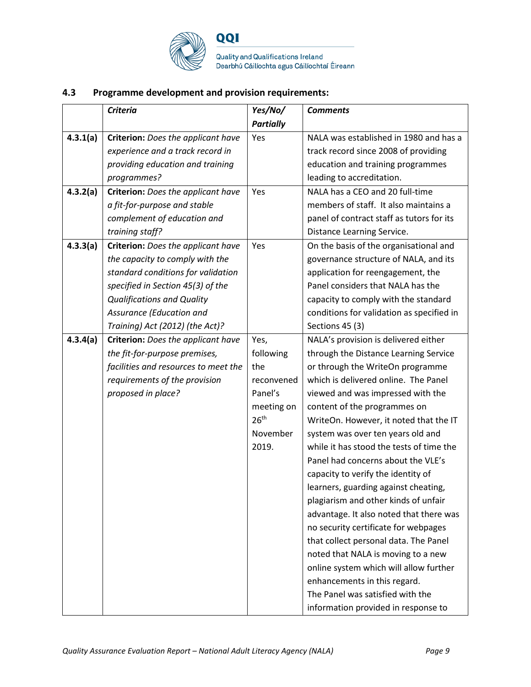

Quality and Qualifications Ireland<br>Dearbhú Cáilíochta agus Cáilíochtaí Éireann

### **4.3 Programme development and provision requirements:**

|          | <b>Criteria</b>                      | Yes/No/          | <b>Comments</b>                           |
|----------|--------------------------------------|------------------|-------------------------------------------|
|          |                                      | <b>Partially</b> |                                           |
| 4.3.1(a) | Criterion: Does the applicant have   | Yes              | NALA was established in 1980 and has a    |
|          | experience and a track record in     |                  | track record since 2008 of providing      |
|          | providing education and training     |                  | education and training programmes         |
|          | programmes?                          |                  | leading to accreditation.                 |
| 4.3.2(a) | Criterion: Does the applicant have   | Yes              | NALA has a CEO and 20 full-time           |
|          | a fit-for-purpose and stable         |                  | members of staff. It also maintains a     |
|          | complement of education and          |                  | panel of contract staff as tutors for its |
|          | training staff?                      |                  | Distance Learning Service.                |
| 4.3.3(a) | Criterion: Does the applicant have   | Yes              | On the basis of the organisational and    |
|          | the capacity to comply with the      |                  | governance structure of NALA, and its     |
|          | standard conditions for validation   |                  | application for reengagement, the         |
|          | specified in Section 45(3) of the    |                  | Panel considers that NALA has the         |
|          | <b>Qualifications and Quality</b>    |                  | capacity to comply with the standard      |
|          | Assurance (Education and             |                  | conditions for validation as specified in |
|          | Training) Act (2012) (the Act)?      |                  | Sections 45 (3)                           |
| 4.3.4(a) | Criterion: Does the applicant have   | Yes,             | NALA's provision is delivered either      |
|          | the fit-for-purpose premises,        | following        | through the Distance Learning Service     |
|          | facilities and resources to meet the | the              | or through the WriteOn programme          |
|          | requirements of the provision        | reconvened       | which is delivered online. The Panel      |
|          | proposed in place?                   | Panel's          | viewed and was impressed with the         |
|          |                                      | meeting on       | content of the programmes on              |
|          |                                      | 26 <sup>th</sup> | WriteOn. However, it noted that the IT    |
|          |                                      | November         | system was over ten years old and         |
|          |                                      | 2019.            | while it has stood the tests of time the  |
|          |                                      |                  | Panel had concerns about the VLE's        |
|          |                                      |                  | capacity to verify the identity of        |
|          |                                      |                  | learners, guarding against cheating,      |
|          |                                      |                  | plagiarism and other kinds of unfair      |
|          |                                      |                  | advantage. It also noted that there was   |
|          |                                      |                  | no security certificate for webpages      |
|          |                                      |                  | that collect personal data. The Panel     |
|          |                                      |                  | noted that NALA is moving to a new        |
|          |                                      |                  | online system which will allow further    |
|          |                                      |                  | enhancements in this regard.              |
|          |                                      |                  | The Panel was satisfied with the          |
|          |                                      |                  | information provided in response to       |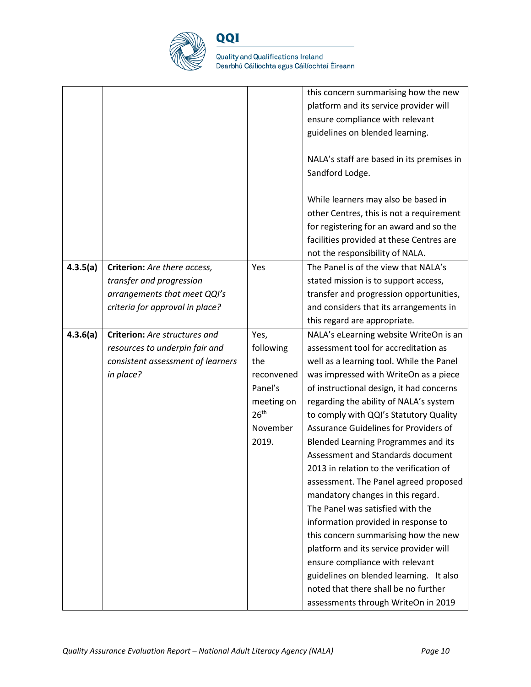

Quality and Qualifications Ireland<br>Dearbhú Cáilíochta agus Cáilíochtaí Éireann

|          |                                   |                  | this concern summarising how the new                                  |
|----------|-----------------------------------|------------------|-----------------------------------------------------------------------|
|          |                                   |                  |                                                                       |
|          |                                   |                  | platform and its service provider will                                |
|          |                                   |                  | ensure compliance with relevant                                       |
|          |                                   |                  | guidelines on blended learning.                                       |
|          |                                   |                  | NALA's staff are based in its premises in                             |
|          |                                   |                  | Sandford Lodge.                                                       |
|          |                                   |                  | While learners may also be based in                                   |
|          |                                   |                  | other Centres, this is not a requirement                              |
|          |                                   |                  | for registering for an award and so the                               |
|          |                                   |                  | facilities provided at these Centres are                              |
|          |                                   |                  | not the responsibility of NALA.                                       |
| 4.3.5(a) | Criterion: Are there access,      | Yes              | The Panel is of the view that NALA's                                  |
|          | transfer and progression          |                  | stated mission is to support access,                                  |
|          | arrangements that meet QQI's      |                  | transfer and progression opportunities,                               |
|          | criteria for approval in place?   |                  | and considers that its arrangements in                                |
|          |                                   |                  | this regard are appropriate.                                          |
| 4.3.6(a) | Criterion: Are structures and     | Yes,             | NALA's eLearning website WriteOn is an                                |
|          | resources to underpin fair and    | following        | assessment tool for accreditation as                                  |
|          | consistent assessment of learners | the              | well as a learning tool. While the Panel                              |
|          | in place?                         | reconvened       | was impressed with WriteOn as a piece                                 |
|          |                                   | Panel's          | of instructional design, it had concerns                              |
|          |                                   | meeting on       | regarding the ability of NALA's system                                |
|          |                                   | 26 <sup>th</sup> | to comply with QQI's Statutory Quality                                |
|          |                                   | November         | Assurance Guidelines for Providers of                                 |
|          |                                   | 2019.            | <b>Blended Learning Programmes and its</b>                            |
|          |                                   |                  | Assessment and Standards document                                     |
|          |                                   |                  | 2013 in relation to the verification of                               |
|          |                                   |                  | assessment. The Panel agreed proposed                                 |
|          |                                   |                  |                                                                       |
|          |                                   |                  | mandatory changes in this regard.<br>The Panel was satisfied with the |
|          |                                   |                  |                                                                       |
|          |                                   |                  | information provided in response to                                   |
|          |                                   |                  | this concern summarising how the new                                  |
|          |                                   |                  | platform and its service provider will                                |
|          |                                   |                  | ensure compliance with relevant                                       |
|          |                                   |                  | guidelines on blended learning. It also                               |
|          |                                   |                  | noted that there shall be no further                                  |
|          |                                   |                  | assessments through WriteOn in 2019                                   |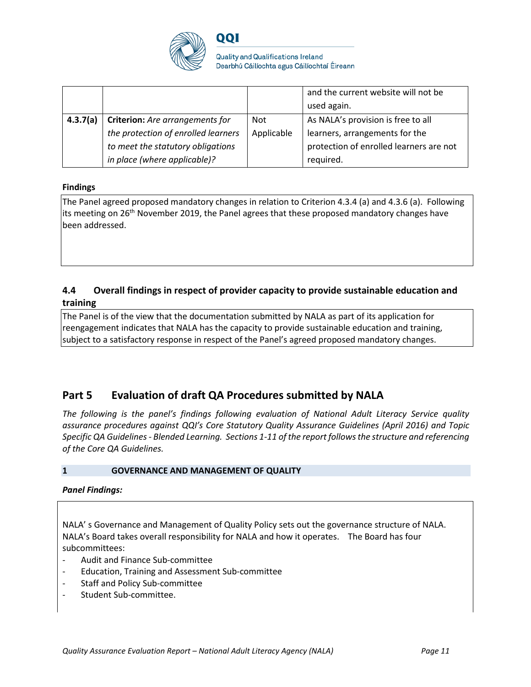

**Quality and Qualifications Ireland** Dearbhú Cáilíochta agus Cáilíochtaí Éireann

|          |                                        |            | and the current website will not be     |
|----------|----------------------------------------|------------|-----------------------------------------|
|          |                                        |            | used again.                             |
| 4.3.7(a) | <b>Criterion:</b> Are arrangements for | <b>Not</b> | As NALA's provision is free to all      |
|          | the protection of enrolled learners    | Applicable | learners, arrangements for the          |
|          | to meet the statutory obligations      |            | protection of enrolled learners are not |
|          | in place (where applicable)?           |            | required.                               |

#### **Findings**

The Panel agreed proposed mandatory changes in relation to Criterion 4.3.4 (a) and 4.3.6 (a). Following its meeting on 26<sup>th</sup> November 2019, the Panel agrees that these proposed mandatory changes have been addressed.

### **4.4 Overall findings in respect of provider capacity to provide sustainable education and training**

The Panel is of the view that the documentation submitted by NALA as part of its application for reengagement indicates that NALA has the capacity to provide sustainable education and training, subject to a satisfactory response in respect of the Panel's agreed proposed mandatory changes.

### **Part 5 Evaluation of draft QA Procedures submitted by NALA**

*The following is the panel's findings following evaluation of National Adult Literacy Service quality assurance procedures against QQI's Core Statutory Quality Assurance Guidelines (April 2016) and Topic Specific QA Guidelines - Blended Learning. Sections 1-11 of the report follows the structure and referencing of the Core QA Guidelines.* 

#### **1 GOVERNANCE AND MANAGEMENT OF QUALITY**

#### *Panel Findings:*

NALA' s Governance and Management of Quality Policy sets out the governance structure of NALA. NALA's Board takes overall responsibility for NALA and how it operates. The Board has four subcommittees:

- Audit and Finance Sub-committee
- Education, Training and Assessment Sub-committee
- Staff and Policy Sub-committee
- Student Sub-committee.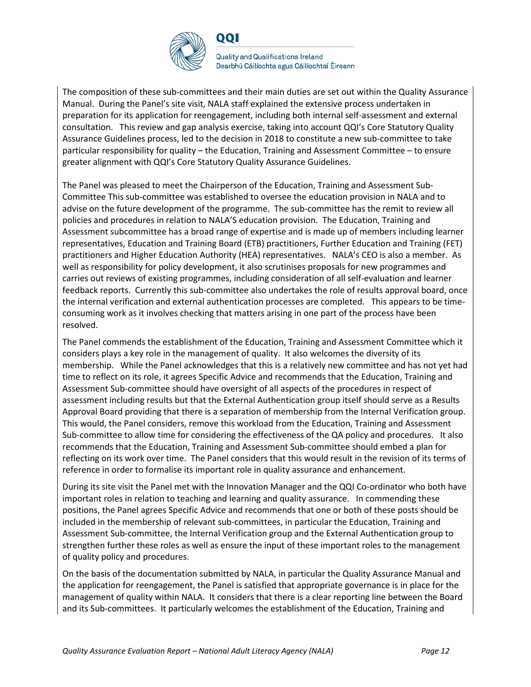

**Quality and Qualifications Ireland** Dearbhú Cáilíochta agus Cáilíochtaí Éireann

The composition of these sub-committees and their main duties are set out within the Quality Assurance Manual. During the Panel's site visit, NALA staff explained the extensive process undertaken in preparation for its application for reengagement, including both internal self-assessment and external consultation. This review and gap analysis exercise, taking into account QQI's Core Statutory Quality Assurance Guidelines process, led to the decision in 2018 to constitute a new sub-committee to take particular responsibility for quality – the Education, Training and Assessment Committee – to ensure greater alignment with QQI's Core Statutory Quality Assurance Guidelines.

The Panel was pleased to meet the Chairperson of the Education, Training and Assessment Sub-Committee This sub-committee was established to oversee the education provision in NALA and to advise on the future development of the programme. The sub-committee has the remit to review all policies and procedures in relation to NALA'S education provision. The Education, Training and Assessment subcommittee has a broad range of expertise and is made up of members including learner representatives, Education and Training Board (ETB) practitioners, Further Education and Training (FET) practitioners and Higher Education Authority (HEA) representatives. NALA's CEO is also a member. As well as responsibility for policy development, it also scrutinises proposals for new programmes and carries out reviews of existing programmes, including consideration of all self-evaluation and learner feedback reports. Currently this sub-committee also undertakes the role of results approval board, once the internal verification and external authentication processes are completed. This appears to be timeconsuming work as it involves checking that matters arising in one part of the process have been resolved.

The Panel commends the establishment of the Education, Training and Assessment Committee which it considers plays a key role in the management of quality. It also welcomes the diversity of its membership. While the Panel acknowledges that this is a relatively new committee and has not yet had time to reflect on its role, it agrees Specific Advice and recommends that the Education, Training and Assessment Sub-committee should have oversight of all aspects of the procedures in respect of assessment including results but that the External Authentication group itself should serve as a Results Approval Board providing that there is a separation of membership from the Internal Verification group. This would, the Panel considers, remove this workload from the Education, Training and Assessment Sub-committee to allow time for considering the effectiveness of the QA policy and procedures. It also recommends that the Education, Training and Assessment Sub-committee should embed a plan for reflecting on its work over time. The Panel considers that this would result in the revision of its terms of reference in order to formalise its important role in quality assurance and enhancement.

During its site visit the Panel met with the Innovation Manager and the QQI Co-ordinator who both have important roles in relation to teaching and learning and quality assurance. In commending these positions, the Panel agrees Specific Advice and recommends that one or both of these posts should be included in the membership of relevant sub-committees, in particular the Education, Training and Assessment Sub-committee, the Internal Verification group and the External Authentication group to strengthen further these roles as well as ensure the input of these important roles to the management of quality policy and procedures.

On the basis of the documentation submitted by NALA, in particular the Quality Assurance Manual and the application for reengagement, the Panel is satisfied that appropriate governance is in place for the management of quality within NALA. It considers that there is a clear reporting line between the Board and its Sub-committees. It particularly welcomes the establishment of the Education, Training and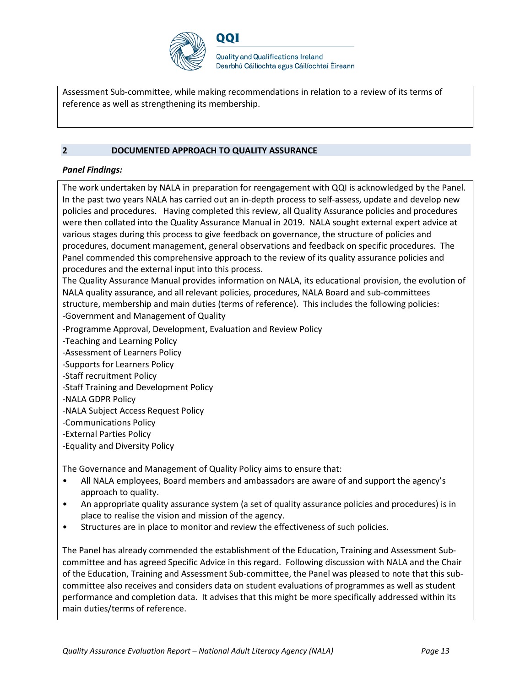

Assessment Sub-committee, while making recommendations in relation to a review of its terms of reference as well as strengthening its membership.

#### **2 DOCUMENTED APPROACH TO QUALITY ASSURANCE**

#### *Panel Findings:*

The work undertaken by NALA in preparation for reengagement with QQI is acknowledged by the Panel. In the past two years NALA has carried out an in-depth process to self-assess, update and develop new policies and procedures. Having completed this review, all Quality Assurance policies and procedures were then collated into the Quality Assurance Manual in 2019. NALA sought external expert advice at various stages during this process to give feedback on governance, the structure of policies and procedures, document management, general observations and feedback on specific procedures. The Panel commended this comprehensive approach to the review of its quality assurance policies and procedures and the external input into this process.

The Quality Assurance Manual provides information on NALA, its educational provision, the evolution of NALA quality assurance, and all relevant policies, procedures, NALA Board and sub-committees structure, membership and main duties (terms of reference). This includes the following policies: -Government and Management of Quality

- -Programme Approval, Development, Evaluation and Review Policy
- -Teaching and Learning Policy
- -Assessment of Learners Policy
- -Supports for Learners Policy
- -Staff recruitment Policy
- -Staff Training and Development Policy
- -NALA GDPR Policy
- -NALA Subject Access Request Policy
- -Communications Policy
- -External Parties Policy
- -Equality and Diversity Policy

The Governance and Management of Quality Policy aims to ensure that:

- All NALA employees, Board members and ambassadors are aware of and support the agency's approach to quality.
- An appropriate quality assurance system (a set of quality assurance policies and procedures) is in place to realise the vision and mission of the agency.
- Structures are in place to monitor and review the effectiveness of such policies.

The Panel has already commended the establishment of the Education, Training and Assessment Subcommittee and has agreed Specific Advice in this regard. Following discussion with NALA and the Chair of the Education, Training and Assessment Sub-committee, the Panel was pleased to note that this subcommittee also receives and considers data on student evaluations of programmes as well as student performance and completion data. It advises that this might be more specifically addressed within its main duties/terms of reference.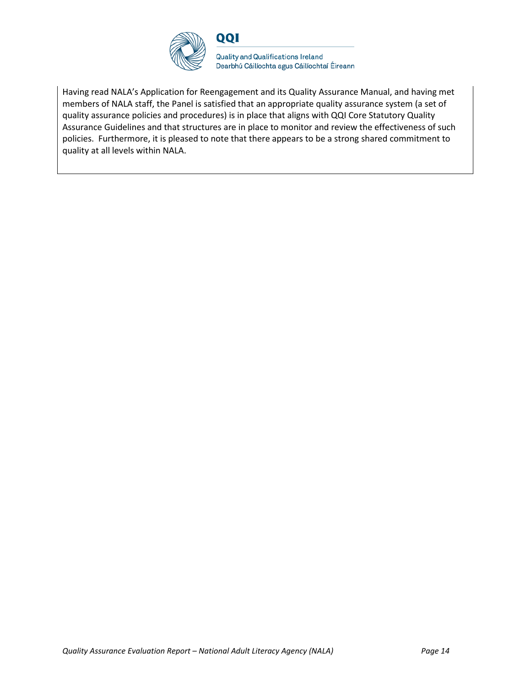

Having read NALA's Application for Reengagement and its Quality Assurance Manual, and having met members of NALA staff, the Panel is satisfied that an appropriate quality assurance system (a set of quality assurance policies and procedures) is in place that aligns with QQI Core Statutory Quality Assurance Guidelines and that structures are in place to monitor and review the effectiveness of such policies. Furthermore, it is pleased to note that there appears to be a strong shared commitment to quality at all levels within NALA.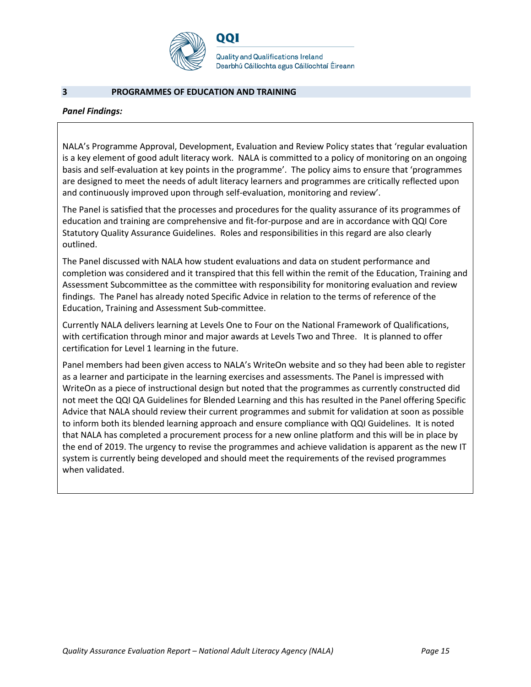

#### **3 PROGRAMMES OF EDUCATION AND TRAINING**

#### *Panel Findings:*

NALA's Programme Approval, Development, Evaluation and Review Policy states that 'regular evaluation is a key element of good adult literacy work. NALA is committed to a policy of monitoring on an ongoing basis and self-evaluation at key points in the programme'. The policy aims to ensure that 'programmes are designed to meet the needs of adult literacy learners and programmes are critically reflected upon and continuously improved upon through self-evaluation, monitoring and review'.

The Panel is satisfied that the processes and procedures for the quality assurance of its programmes of education and training are comprehensive and fit-for-purpose and are in accordance with QQI Core Statutory Quality Assurance Guidelines. Roles and responsibilities in this regard are also clearly outlined.

The Panel discussed with NALA how student evaluations and data on student performance and completion was considered and it transpired that this fell within the remit of the Education, Training and Assessment Subcommittee as the committee with responsibility for monitoring evaluation and review findings. The Panel has already noted Specific Advice in relation to the terms of reference of the Education, Training and Assessment Sub-committee.

Currently NALA delivers learning at Levels One to Four on the National Framework of Qualifications, with certification through minor and major awards at Levels Two and Three. It is planned to offer certification for Level 1 learning in the future.

Panel members had been given access to NALA's WriteOn website and so they had been able to register as a learner and participate in the learning exercises and assessments. The Panel is impressed with WriteOn as a piece of instructional design but noted that the programmes as currently constructed did not meet the QQI QA Guidelines for Blended Learning and this has resulted in the Panel offering Specific Advice that NALA should review their current programmes and submit for validation at soon as possible to inform both its blended learning approach and ensure compliance with QQI Guidelines. It is noted that NALA has completed a procurement process for a new online platform and this will be in place by the end of 2019. The urgency to revise the programmes and achieve validation is apparent as the new IT system is currently being developed and should meet the requirements of the revised programmes when validated.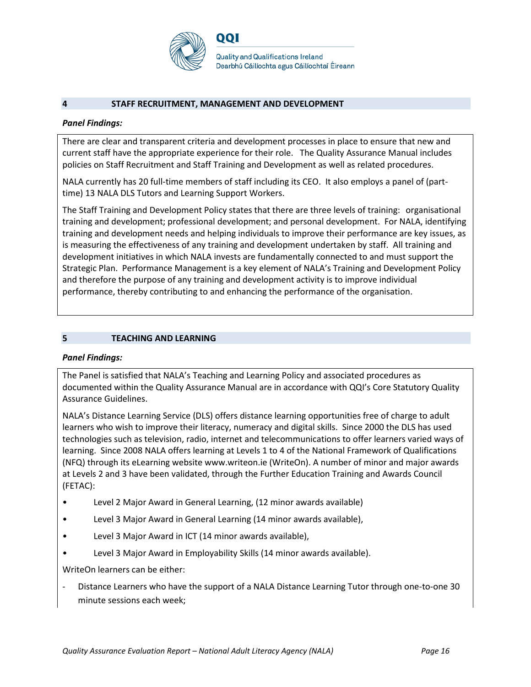

#### **4 STAFF RECRUITMENT, MANAGEMENT AND DEVELOPMENT**

#### *Panel Findings:*

There are clear and transparent criteria and development processes in place to ensure that new and current staff have the appropriate experience for their role. The Quality Assurance Manual includes policies on Staff Recruitment and Staff Training and Development as well as related procedures.

NALA currently has 20 full-time members of staff including its CEO. It also employs a panel of (parttime) 13 NALA DLS Tutors and Learning Support Workers.

The Staff Training and Development Policy states that there are three levels of training: organisational training and development; professional development; and personal development. For NALA, identifying training and development needs and helping individuals to improve their performance are key issues, as is measuring the effectiveness of any training and development undertaken by staff. All training and development initiatives in which NALA invests are fundamentally connected to and must support the Strategic Plan. Performance Management is a key element of NALA's Training and Development Policy and therefore the purpose of any training and development activity is to improve individual performance, thereby contributing to and enhancing the performance of the organisation.

#### **5 TEACHING AND LEARNING**

#### *Panel Findings:*

The Panel is satisfied that NALA's Teaching and Learning Policy and associated procedures as documented within the Quality Assurance Manual are in accordance with QQI's Core Statutory Quality Assurance Guidelines.

NALA's Distance Learning Service (DLS) offers distance learning opportunities free of charge to adult learners who wish to improve their literacy, numeracy and digital skills. Since 2000 the DLS has used technologies such as television, radio, internet and telecommunications to offer learners varied ways of learning. Since 2008 NALA offers learning at Levels 1 to 4 of the National Framework of Qualifications (NFQ) through its eLearning website www.writeon.ie (WriteOn). A number of minor and major awards at Levels 2 and 3 have been validated, through the Further Education Training and Awards Council (FETAC):

- Level 2 Major Award in General Learning, (12 minor awards available)
- Level 3 Major Award in General Learning (14 minor awards available),
- Level 3 Major Award in ICT (14 minor awards available),
- Level 3 Major Award in Employability Skills (14 minor awards available).

WriteOn learners can be either:

Distance Learners who have the support of a NALA Distance Learning Tutor through one-to-one 30 minute sessions each week;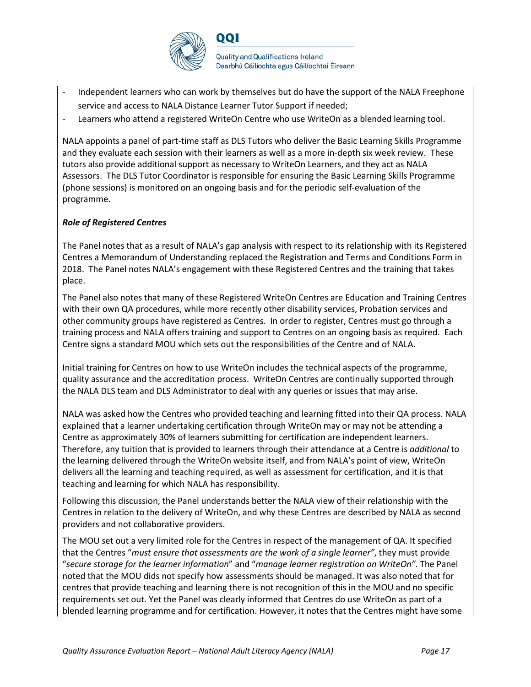

- Independent learners who can work by themselves but do have the support of the NALA Freephone service and access to NALA Distance Learner Tutor Support if needed;
- Learners who attend a registered WriteOn Centre who use WriteOn as a blended learning tool.

NALA appoints a panel of part-time staff as DLS Tutors who deliver the Basic Learning Skills Programme and they evaluate each session with their learners as well as a more in-depth six week review. These tutors also provide additional support as necessary to WriteOn Learners, and they act as NALA Assessors. The DLS Tutor Coordinator is responsible for ensuring the Basic Learning Skills Programme (phone sessions) is monitored on an ongoing basis and for the periodic self-evaluation of the programme.

### *Role of Registered Centres*

The Panel notes that as a result of NALA's gap analysis with respect to its relationship with its Registered Centres a Memorandum of Understanding replaced the Registration and Terms and Conditions Form in 2018. The Panel notes NALA's engagement with these Registered Centres and the training that takes place.

The Panel also notes that many of these Registered WriteOn Centres are Education and Training Centres with their own QA procedures, while more recently other disability services, Probation services and other community groups have registered as Centres. In order to register, Centres must go through a training process and NALA offers training and support to Centres on an ongoing basis as required. Each Centre signs a standard MOU which sets out the responsibilities of the Centre and of NALA.

Initial training for Centres on how to use WriteOn includes the technical aspects of the programme, quality assurance and the accreditation process. WriteOn Centres are continually supported through the NALA DLS team and DLS Administrator to deal with any queries or issues that may arise.

NALA was asked how the Centres who provided teaching and learning fitted into their QA process. NALA explained that a learner undertaking certification through WriteOn may or may not be attending a Centre as approximately 30% of learners submitting for certification are independent learners. Therefore, any tuition that is provided to learners through their attendance at a Centre is *additional* to the learning delivered through the WriteOn website itself, and from NALA's point of view, WriteOn delivers all the learning and teaching required, as well as assessment for certification, and it is that teaching and learning for which NALA has responsibility.

Following this discussion, the Panel understands better the NALA view of their relationship with the Centres in relation to the delivery of WriteOn, and why these Centres are described by NALA as second providers and not collaborative providers.

The MOU set out a very limited role for the Centres in respect of the management of QA. It specified that the Centres "*must ensure that assessments are the work of a single learner"*, they must provide "*secure storage for the learner information*" and "*manage learner registration on WriteOn"*. The Panel noted that the MOU dids not specify how assessments should be managed. It was also noted that for centres that provide teaching and learning there is not recognition of this in the MOU and no specific requirements set out. Yet the Panel was clearly informed that Centres do use WriteOn as part of a blended learning programme and for certification. However, it notes that the Centres might have some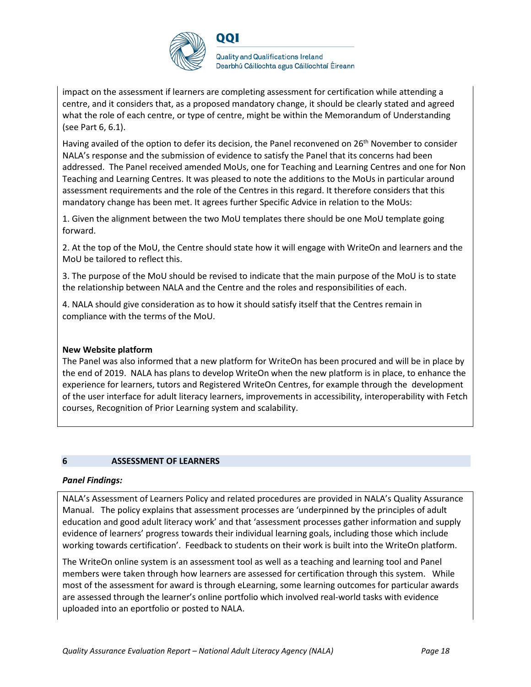

**Quality and Qualifications Ireland** Dearbhú Cáilíochta agus Cáilíochtaí Éireann

impact on the assessment if learners are completing assessment for certification while attending a centre, and it considers that, as a proposed mandatory change, it should be clearly stated and agreed what the role of each centre, or type of centre, might be within the Memorandum of Understanding (see Part 6, 6.1).

Having availed of the option to defer its decision, the Panel reconvened on 26<sup>th</sup> November to consider NALA's response and the submission of evidence to satisfy the Panel that its concerns had been addressed. The Panel received amended MoUs, one for Teaching and Learning Centres and one for Non Teaching and Learning Centres. It was pleased to note the additions to the MoUs in particular around assessment requirements and the role of the Centres in this regard. It therefore considers that this mandatory change has been met. It agrees further Specific Advice in relation to the MoUs:

1. Given the alignment between the two MoU templates there should be one MoU template going forward.

2. At the top of the MoU, the Centre should state how it will engage with WriteOn and learners and the MoU be tailored to reflect this.

3. The purpose of the MoU should be revised to indicate that the main purpose of the MoU is to state the relationship between NALA and the Centre and the roles and responsibilities of each.

4. NALA should give consideration as to how it should satisfy itself that the Centres remain in compliance with the terms of the MoU.

#### **New Website platform**

The Panel was also informed that a new platform for WriteOn has been procured and will be in place by the end of 2019. NALA has plans to develop WriteOn when the new platform is in place, to enhance the experience for learners, tutors and Registered WriteOn Centres, for example through the development of the user interface for adult literacy learners, improvements in accessibility, interoperability with Fetch courses, Recognition of Prior Learning system and scalability.

#### **6 ASSESSMENT OF LEARNERS**

#### *Panel Findings:*

NALA's Assessment of Learners Policy and related procedures are provided in NALA's Quality Assurance Manual. The policy explains that assessment processes are 'underpinned by the principles of adult education and good adult literacy work' and that 'assessment processes gather information and supply evidence of learners' progress towards their individual learning goals, including those which include working towards certification'. Feedback to students on their work is built into the WriteOn platform.

The WriteOn online system is an assessment tool as well as a teaching and learning tool and Panel members were taken through how learners are assessed for certification through this system. While most of the assessment for award is through eLearning, some learning outcomes for particular awards are assessed through the learner's online portfolio which involved real-world tasks with evidence uploaded into an eportfolio or posted to NALA.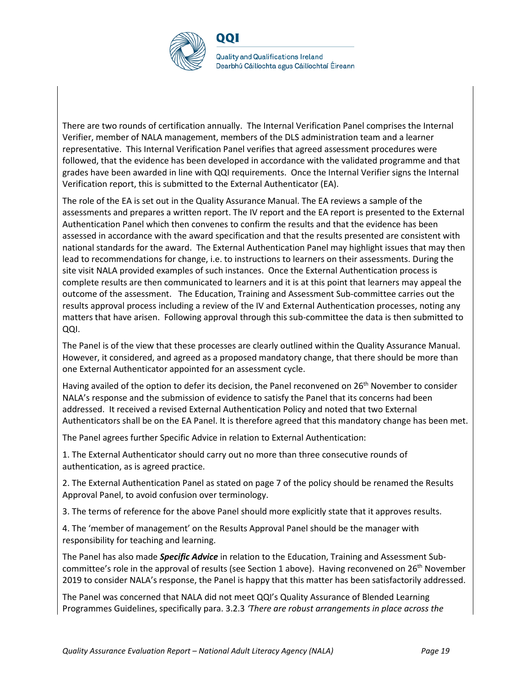

There are two rounds of certification annually. The Internal Verification Panel comprises the Internal Verifier, member of NALA management, members of the DLS administration team and a learner representative. This Internal Verification Panel verifies that agreed assessment procedures were followed, that the evidence has been developed in accordance with the validated programme and that grades have been awarded in line with QQI requirements. Once the Internal Verifier signs the Internal Verification report, this is submitted to the External Authenticator (EA).

The role of the EA is set out in the Quality Assurance Manual. The EA reviews a sample of the assessments and prepares a written report. The IV report and the EA report is presented to the External Authentication Panel which then convenes to confirm the results and that the evidence has been assessed in accordance with the award specification and that the results presented are consistent with national standards for the award. The External Authentication Panel may highlight issues that may then lead to recommendations for change, i.e. to instructions to learners on their assessments. During the site visit NALA provided examples of such instances. Once the External Authentication process is complete results are then communicated to learners and it is at this point that learners may appeal the outcome of the assessment. The Education, Training and Assessment Sub-committee carries out the results approval process including a review of the IV and External Authentication processes, noting any matters that have arisen. Following approval through this sub-committee the data is then submitted to QQI.

The Panel is of the view that these processes are clearly outlined within the Quality Assurance Manual. However, it considered, and agreed as a proposed mandatory change, that there should be more than one External Authenticator appointed for an assessment cycle.

Having availed of the option to defer its decision, the Panel reconvened on 26<sup>th</sup> November to consider NALA's response and the submission of evidence to satisfy the Panel that its concerns had been addressed. It received a revised External Authentication Policy and noted that two External Authenticators shall be on the EA Panel. It is therefore agreed that this mandatory change has been met.

The Panel agrees further Specific Advice in relation to External Authentication:

1. The External Authenticator should carry out no more than three consecutive rounds of authentication, as is agreed practice.

2. The External Authentication Panel as stated on page 7 of the policy should be renamed the Results Approval Panel, to avoid confusion over terminology.

3. The terms of reference for the above Panel should more explicitly state that it approves results.

4. The 'member of management' on the Results Approval Panel should be the manager with responsibility for teaching and learning.

The Panel has also made *Specific Advice* in relation to the Education, Training and Assessment Subcommittee's role in the approval of results (see Section 1 above). Having reconvened on  $26<sup>th</sup>$  November 2019 to consider NALA's response, the Panel is happy that this matter has been satisfactorily addressed.

The Panel was concerned that NALA did not meet QQI's Quality Assurance of Blended Learning Programmes Guidelines, specifically para. 3.2.3 *'There are robust arrangements in place across the*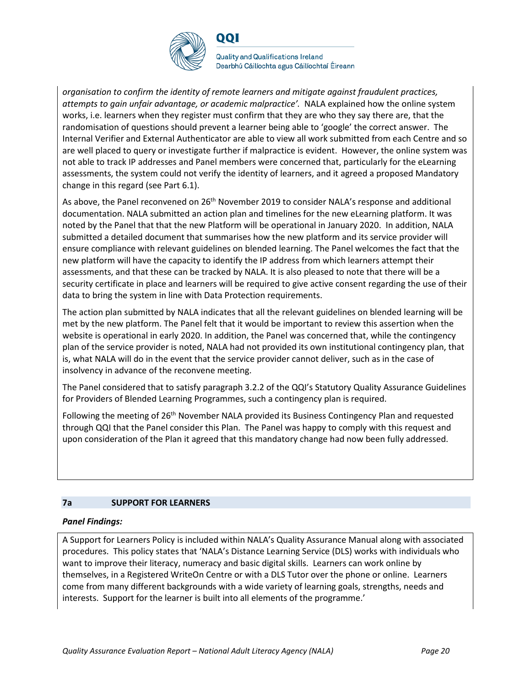

**Quality and Qualifications Ireland** Dearbhú Cáilíochta agus Cáilíochtaí Éireann

*organisation to confirm the identity of remote learners and mitigate against fraudulent practices, attempts to gain unfair advantage, or academic malpractice'.* NALA explained how the online system works, i.e. learners when they register must confirm that they are who they say there are, that the randomisation of questions should prevent a learner being able to 'google' the correct answer. The Internal Verifier and External Authenticator are able to view all work submitted from each Centre and so are well placed to query or investigate further if malpractice is evident. However, the online system was not able to track IP addresses and Panel members were concerned that, particularly for the eLearning assessments, the system could not verify the identity of learners, and it agreed a proposed Mandatory change in this regard (see Part 6.1).

As above, the Panel reconvened on  $26<sup>th</sup>$  November 2019 to consider NALA's response and additional documentation. NALA submitted an action plan and timelines for the new eLearning platform. It was noted by the Panel that that the new Platform will be operational in January 2020. In addition, NALA submitted a detailed document that summarises how the new platform and its service provider will ensure compliance with relevant guidelines on blended learning. The Panel welcomes the fact that the new platform will have the capacity to identify the IP address from which learners attempt their assessments, and that these can be tracked by NALA. It is also pleased to note that there will be a security certificate in place and learners will be required to give active consent regarding the use of their data to bring the system in line with Data Protection requirements.

The action plan submitted by NALA indicates that all the relevant guidelines on blended learning will be met by the new platform. The Panel felt that it would be important to review this assertion when the website is operational in early 2020. In addition, the Panel was concerned that, while the contingency plan of the service provider is noted, NALA had not provided its own institutional contingency plan, that is, what NALA will do in the event that the service provider cannot deliver, such as in the case of insolvency in advance of the reconvene meeting.

The Panel considered that to satisfy paragraph 3.2.2 of the QQI's Statutory Quality Assurance Guidelines for Providers of Blended Learning Programmes, such a contingency plan is required.

Following the meeting of 26<sup>th</sup> November NALA provided its Business Contingency Plan and requested through QQI that the Panel consider this Plan. The Panel was happy to comply with this request and upon consideration of the Plan it agreed that this mandatory change had now been fully addressed.

#### **7a SUPPORT FOR LEARNERS**

#### *Panel Findings:*

A Support for Learners Policy is included within NALA's Quality Assurance Manual along with associated procedures. This policy states that 'NALA's Distance Learning Service (DLS) works with individuals who want to improve their literacy, numeracy and basic digital skills. Learners can work online by themselves, in a Registered WriteOn Centre or with a DLS Tutor over the phone or online. Learners come from many different backgrounds with a wide variety of learning goals, strengths, needs and interests. Support for the learner is built into all elements of the programme.'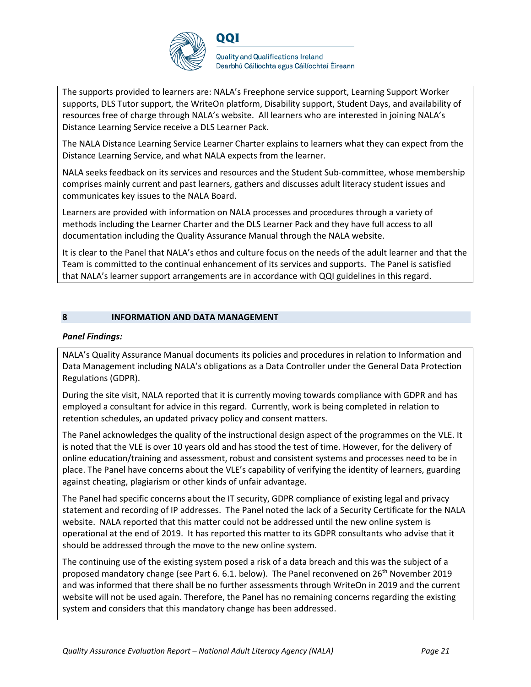

The supports provided to learners are: NALA's Freephone service support, Learning Support Worker supports, DLS Tutor support, the WriteOn platform, Disability support, Student Days, and availability of resources free of charge through NALA's website. All learners who are interested in joining NALA's Distance Learning Service receive a DLS Learner Pack.

The NALA Distance Learning Service Learner Charter explains to learners what they can expect from the Distance Learning Service, and what NALA expects from the learner.

NALA seeks feedback on its services and resources and the Student Sub-committee, whose membership comprises mainly current and past learners, gathers and discusses adult literacy student issues and communicates key issues to the NALA Board.

Learners are provided with information on NALA processes and procedures through a variety of methods including the Learner Charter and the DLS Learner Pack and they have full access to all documentation including the Quality Assurance Manual through the NALA website.

It is clear to the Panel that NALA's ethos and culture focus on the needs of the adult learner and that the Team is committed to the continual enhancement of its services and supports. The Panel is satisfied that NALA's learner support arrangements are in accordance with QQI guidelines in this regard.

### **8 INFORMATION AND DATA MANAGEMENT**

#### *Panel Findings:*

NALA's Quality Assurance Manual documents its policies and procedures in relation to Information and Data Management including NALA's obligations as a Data Controller under the General Data Protection Regulations (GDPR).

During the site visit, NALA reported that it is currently moving towards compliance with GDPR and has employed a consultant for advice in this regard. Currently, work is being completed in relation to retention schedules, an updated privacy policy and consent matters.

The Panel acknowledges the quality of the instructional design aspect of the programmes on the VLE. It is noted that the VLE is over 10 years old and has stood the test of time. However, for the delivery of online education/training and assessment, robust and consistent systems and processes need to be in place. The Panel have concerns about the VLE's capability of verifying the identity of learners, guarding against cheating, plagiarism or other kinds of unfair advantage.

The Panel had specific concerns about the IT security, GDPR compliance of existing legal and privacy statement and recording of IP addresses. The Panel noted the lack of a Security Certificate for the NALA website. NALA reported that this matter could not be addressed until the new online system is operational at the end of 2019. It has reported this matter to its GDPR consultants who advise that it should be addressed through the move to the new online system.

The continuing use of the existing system posed a risk of a data breach and this was the subject of a proposed mandatory change (see Part 6. 6.1. below). The Panel reconvened on 26<sup>th</sup> November 2019 and was informed that there shall be no further assessments through WriteOn in 2019 and the current website will not be used again. Therefore, the Panel has no remaining concerns regarding the existing system and considers that this mandatory change has been addressed.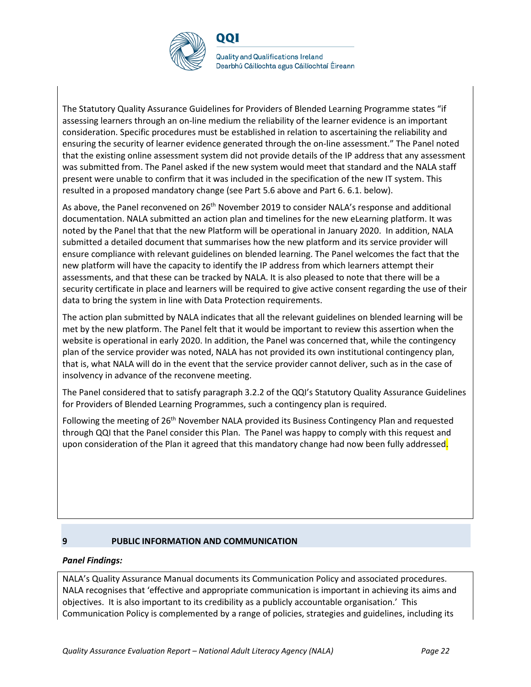

**Quality and Qualifications Ireland** Dearbhú Cáilíochta agus Cáilíochtaí Éireann

The Statutory Quality Assurance Guidelines for Providers of Blended Learning Programme states "if assessing learners through an on-line medium the reliability of the learner evidence is an important consideration. Specific procedures must be established in relation to ascertaining the reliability and ensuring the security of learner evidence generated through the on-line assessment." The Panel noted that the existing online assessment system did not provide details of the IP address that any assessment was submitted from. The Panel asked if the new system would meet that standard and the NALA staff present were unable to confirm that it was included in the specification of the new IT system. This resulted in a proposed mandatory change (see Part 5.6 above and Part 6. 6.1. below).

As above, the Panel reconvened on 26<sup>th</sup> November 2019 to consider NALA's response and additional documentation. NALA submitted an action plan and timelines for the new eLearning platform. It was noted by the Panel that that the new Platform will be operational in January 2020. In addition, NALA submitted a detailed document that summarises how the new platform and its service provider will ensure compliance with relevant guidelines on blended learning. The Panel welcomes the fact that the new platform will have the capacity to identify the IP address from which learners attempt their assessments, and that these can be tracked by NALA. It is also pleased to note that there will be a security certificate in place and learners will be required to give active consent regarding the use of their data to bring the system in line with Data Protection requirements.

The action plan submitted by NALA indicates that all the relevant guidelines on blended learning will be met by the new platform. The Panel felt that it would be important to review this assertion when the website is operational in early 2020. In addition, the Panel was concerned that, while the contingency plan of the service provider was noted, NALA has not provided its own institutional contingency plan, that is, what NALA will do in the event that the service provider cannot deliver, such as in the case of insolvency in advance of the reconvene meeting.

The Panel considered that to satisfy paragraph 3.2.2 of the QQI's Statutory Quality Assurance Guidelines for Providers of Blended Learning Programmes, such a contingency plan is required.

Following the meeting of 26<sup>th</sup> November NALA provided its Business Contingency Plan and requested through QQI that the Panel consider this Plan. The Panel was happy to comply with this request and upon consideration of the Plan it agreed that this mandatory change had now been fully addressed.

### **9 PUBLIC INFORMATION AND COMMUNICATION**

#### *Panel Findings:*

NALA's Quality Assurance Manual documents its Communication Policy and associated procedures. NALA recognises that 'effective and appropriate communication is important in achieving its aims and objectives. It is also important to its credibility as a publicly accountable organisation.' This Communication Policy is complemented by a range of policies, strategies and guidelines, including its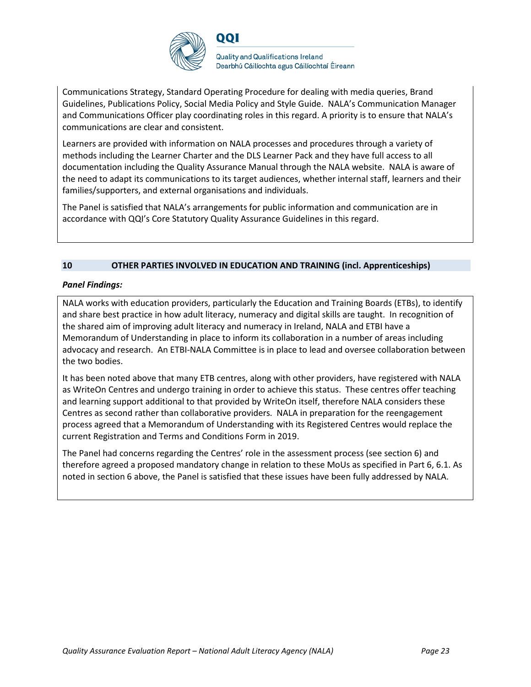

Communications Strategy, Standard Operating Procedure for dealing with media queries, Brand Guidelines, Publications Policy, Social Media Policy and Style Guide. NALA's Communication Manager and Communications Officer play coordinating roles in this regard. A priority is to ensure that NALA's communications are clear and consistent.

Learners are provided with information on NALA processes and procedures through a variety of methods including the Learner Charter and the DLS Learner Pack and they have full access to all documentation including the Quality Assurance Manual through the NALA website. NALA is aware of the need to adapt its communications to its target audiences, whether internal staff, learners and their families/supporters, and external organisations and individuals.

The Panel is satisfied that NALA's arrangements for public information and communication are in accordance with QQI's Core Statutory Quality Assurance Guidelines in this regard.

#### **10 OTHER PARTIES INVOLVED IN EDUCATION AND TRAINING (incl. Apprenticeships)**

#### *Panel Findings:*

NALA works with education providers, particularly the Education and Training Boards (ETBs), to identify and share best practice in how adult literacy, numeracy and digital skills are taught. In recognition of the shared aim of improving adult literacy and numeracy in Ireland, NALA and ETBI have a Memorandum of Understanding in place to inform its collaboration in a number of areas including advocacy and research. An ETBI-NALA Committee is in place to lead and oversee collaboration between the two bodies.

It has been noted above that many ETB centres, along with other providers, have registered with NALA as WriteOn Centres and undergo training in order to achieve this status. These centres offer teaching and learning support additional to that provided by WriteOn itself, therefore NALA considers these Centres as second rather than collaborative providers. NALA in preparation for the reengagement process agreed that a Memorandum of Understanding with its Registered Centres would replace the current Registration and Terms and Conditions Form in 2019.

The Panel had concerns regarding the Centres' role in the assessment process (see section 6) and therefore agreed a proposed mandatory change in relation to these MoUs as specified in Part 6, 6.1. As noted in section 6 above, the Panel is satisfied that these issues have been fully addressed by NALA.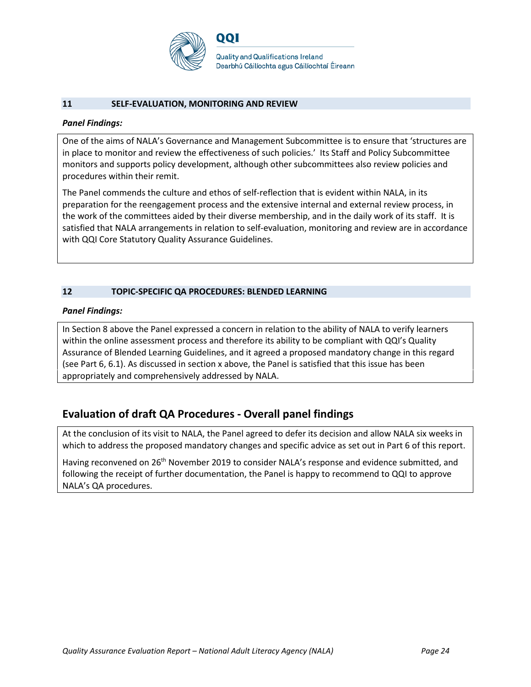

#### **11 SELF-EVALUATION, MONITORING AND REVIEW**

#### *Panel Findings:*

One of the aims of NALA's Governance and Management Subcommittee is to ensure that 'structures are in place to monitor and review the effectiveness of such policies.' Its Staff and Policy Subcommittee monitors and supports policy development, although other subcommittees also review policies and procedures within their remit.

The Panel commends the culture and ethos of self-reflection that is evident within NALA, in its preparation for the reengagement process and the extensive internal and external review process, in the work of the committees aided by their diverse membership, and in the daily work of its staff. It is satisfied that NALA arrangements in relation to self-evaluation, monitoring and review are in accordance with QQI Core Statutory Quality Assurance Guidelines.

#### **12 TOPIC-SPECIFIC QA PROCEDURES: BLENDED LEARNING**

#### *Panel Findings:*

In Section 8 above the Panel expressed a concern in relation to the ability of NALA to verify learners within the online assessment process and therefore its ability to be compliant with QQI's Quality Assurance of Blended Learning Guidelines, and it agreed a proposed mandatory change in this regard (see Part 6, 6.1). As discussed in section x above, the Panel is satisfied that this issue has been appropriately and comprehensively addressed by NALA.

### **Evaluation of draft QA Procedures - Overall panel findings**

At the conclusion of its visit to NALA, the Panel agreed to defer its decision and allow NALA six weeks in which to address the proposed mandatory changes and specific advice as set out in Part 6 of this report.

Having reconvened on 26<sup>th</sup> November 2019 to consider NALA's response and evidence submitted, and following the receipt of further documentation, the Panel is happy to recommend to QQI to approve NALA's QA procedures.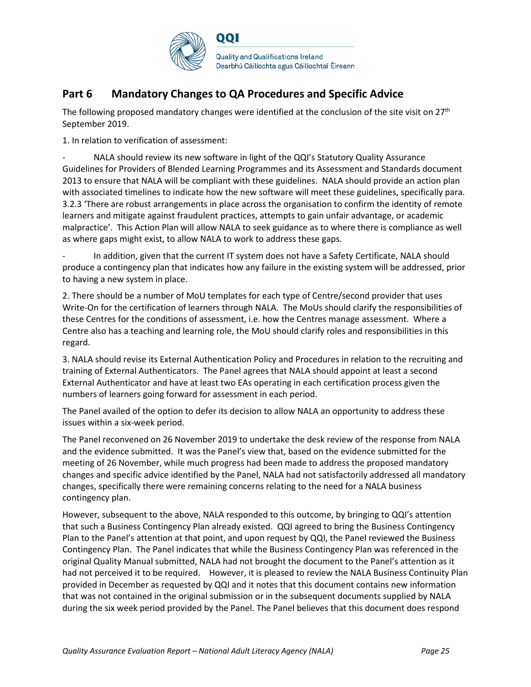

# **Part 6 Mandatory Changes to QA Procedures and Specific Advice**

The following proposed mandatory changes were identified at the conclusion of the site visit on  $27<sup>th</sup>$ September 2019.

1. In relation to verification of assessment:

NALA should review its new software in light of the QQI's Statutory Quality Assurance Guidelines for Providers of Blended Learning Programmes and its Assessment and Standards document 2013 to ensure that NALA will be compliant with these guidelines. NALA should provide an action plan with associated timelines to indicate how the new software will meet these guidelines, specifically para. 3.2.3 'There are robust arrangements in place across the organisation to confirm the identity of remote learners and mitigate against fraudulent practices, attempts to gain unfair advantage, or academic malpractice'. This Action Plan will allow NALA to seek guidance as to where there is compliance as well as where gaps might exist, to allow NALA to work to address these gaps.

In addition, given that the current IT system does not have a Safety Certificate, NALA should produce a contingency plan that indicates how any failure in the existing system will be addressed, prior to having a new system in place.

2. There should be a number of MoU templates for each type of Centre/second provider that uses Write-On for the certification of learners through NALA. The MoUs should clarify the responsibilities of these Centres for the conditions of assessment, i.e. how the Centres manage assessment. Where a Centre also has a teaching and learning role, the MoU should clarify roles and responsibilities in this regard.

3. NALA should revise its External Authentication Policy and Procedures in relation to the recruiting and training of External Authenticators. The Panel agrees that NALA should appoint at least a second External Authenticator and have at least two EAs operating in each certification process given the numbers of learners going forward for assessment in each period.

The Panel availed of the option to defer its decision to allow NALA an opportunity to address these issues within a six-week period.

The Panel reconvened on 26 November 2019 to undertake the desk review of the response from NALA and the evidence submitted. It was the Panel's view that, based on the evidence submitted for the meeting of 26 November, while much progress had been made to address the proposed mandatory changes and specific advice identified by the Panel, NALA had not satisfactorily addressed all mandatory changes, specifically there were remaining concerns relating to the need for a NALA business contingency plan.

However, subsequent to the above, NALA responded to this outcome, by bringing to QQI's attention that such a Business Contingency Plan already existed. QQI agreed to bring the Business Contingency Plan to the Panel's attention at that point, and upon request by QQI, the Panel reviewed the Business Contingency Plan. The Panel indicates that while the Business Contingency Plan was referenced in the original Quality Manual submitted, NALA had not brought the document to the Panel's attention as it had not perceived it to be required. However, it is pleased to review the NALA Business Continuity Plan provided in December as requested by QQI and it notes that this document contains new information that was not contained in the original submission or in the subsequent documents supplied by NALA during the six week period provided by the Panel. The Panel believes that this document does respond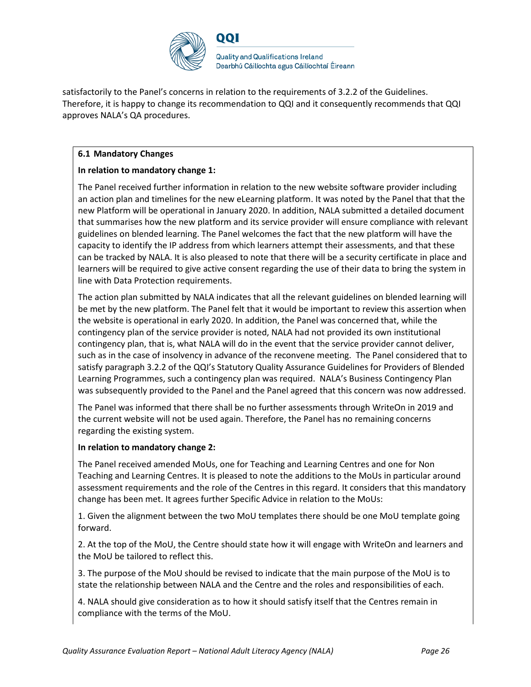

satisfactorily to the Panel's concerns in relation to the requirements of 3.2.2 of the Guidelines. Therefore, it is happy to change its recommendation to QQI and it consequently recommends that QQI approves NALA's QA procedures.

#### **6.1 Mandatory Changes**

### **In relation to mandatory change 1:**

The Panel received further information in relation to the new website software provider including an action plan and timelines for the new eLearning platform. It was noted by the Panel that that the new Platform will be operational in January 2020. In addition, NALA submitted a detailed document that summarises how the new platform and its service provider will ensure compliance with relevant guidelines on blended learning. The Panel welcomes the fact that the new platform will have the capacity to identify the IP address from which learners attempt their assessments, and that these can be tracked by NALA. It is also pleased to note that there will be a security certificate in place and learners will be required to give active consent regarding the use of their data to bring the system in line with Data Protection requirements.

The action plan submitted by NALA indicates that all the relevant guidelines on blended learning will be met by the new platform. The Panel felt that it would be important to review this assertion when the website is operational in early 2020. In addition, the Panel was concerned that, while the contingency plan of the service provider is noted, NALA had not provided its own institutional contingency plan, that is, what NALA will do in the event that the service provider cannot deliver, such as in the case of insolvency in advance of the reconvene meeting. The Panel considered that to satisfy paragraph 3.2.2 of the QQI's Statutory Quality Assurance Guidelines for Providers of Blended Learning Programmes, such a contingency plan was required. NALA's Business Contingency Plan was subsequently provided to the Panel and the Panel agreed that this concern was now addressed.

The Panel was informed that there shall be no further assessments through WriteOn in 2019 and the current website will not be used again. Therefore, the Panel has no remaining concerns regarding the existing system.

#### **In relation to mandatory change 2:**

The Panel received amended MoUs, one for Teaching and Learning Centres and one for Non Teaching and Learning Centres. It is pleased to note the additions to the MoUs in particular around assessment requirements and the role of the Centres in this regard. It considers that this mandatory change has been met. It agrees further Specific Advice in relation to the MoUs:

1. Given the alignment between the two MoU templates there should be one MoU template going forward.

2. At the top of the MoU, the Centre should state how it will engage with WriteOn and learners and the MoU be tailored to reflect this.

3. The purpose of the MoU should be revised to indicate that the main purpose of the MoU is to state the relationship between NALA and the Centre and the roles and responsibilities of each.

4. NALA should give consideration as to how it should satisfy itself that the Centres remain in compliance with the terms of the MoU.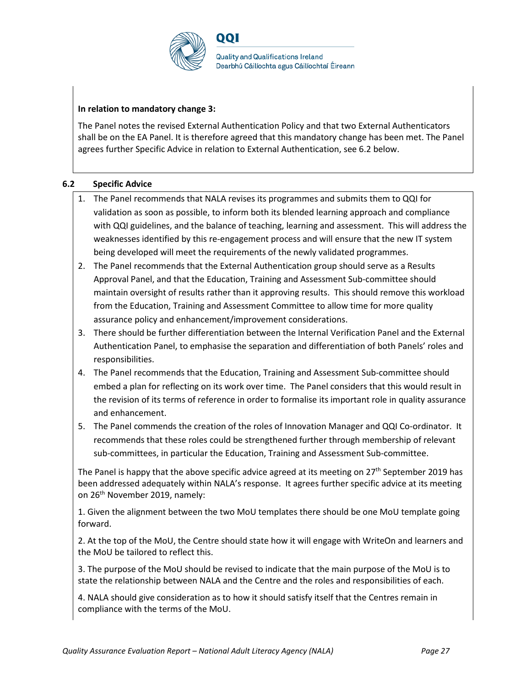

#### **In relation to mandatory change 3:**

The Panel notes the revised External Authentication Policy and that two External Authenticators shall be on the EA Panel. It is therefore agreed that this mandatory change has been met. The Panel agrees further Specific Advice in relation to External Authentication, see 6.2 below.

### **6.2 Specific Advice**

- 1. The Panel recommends that NALA revises its programmes and submits them to QQI for validation as soon as possible, to inform both its blended learning approach and compliance with QQI guidelines, and the balance of teaching, learning and assessment. This will address the weaknesses identified by this re-engagement process and will ensure that the new IT system being developed will meet the requirements of the newly validated programmes.
- 2. The Panel recommends that the External Authentication group should serve as a Results Approval Panel, and that the Education, Training and Assessment Sub-committee should maintain oversight of results rather than it approving results. This should remove this workload from the Education, Training and Assessment Committee to allow time for more quality assurance policy and enhancement/improvement considerations.
- 3. There should be further differentiation between the Internal Verification Panel and the External Authentication Panel, to emphasise the separation and differentiation of both Panels' roles and responsibilities.
- 4. The Panel recommends that the Education, Training and Assessment Sub-committee should embed a plan for reflecting on its work over time. The Panel considers that this would result in the revision of its terms of reference in order to formalise its important role in quality assurance and enhancement.
- 5. The Panel commends the creation of the roles of Innovation Manager and QQI Co-ordinator. It recommends that these roles could be strengthened further through membership of relevant sub-committees, in particular the Education, Training and Assessment Sub-committee.

The Panel is happy that the above specific advice agreed at its meeting on  $27<sup>th</sup>$  September 2019 has been addressed adequately within NALA's response. It agrees further specific advice at its meeting on 26<sup>th</sup> November 2019, namely:

1. Given the alignment between the two MoU templates there should be one MoU template going forward.

2. At the top of the MoU, the Centre should state how it will engage with WriteOn and learners and the MoU be tailored to reflect this.

3. The purpose of the MoU should be revised to indicate that the main purpose of the MoU is to state the relationship between NALA and the Centre and the roles and responsibilities of each.

4. NALA should give consideration as to how it should satisfy itself that the Centres remain in compliance with the terms of the MoU.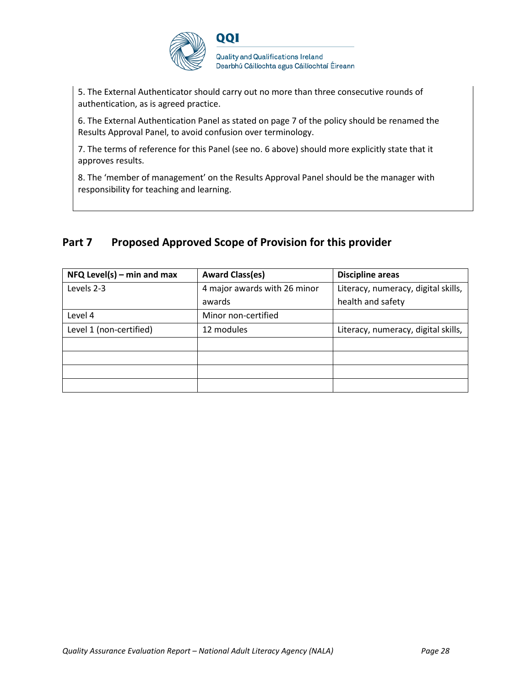

5. The External Authenticator should carry out no more than three consecutive rounds of authentication, as is agreed practice.

6. The External Authentication Panel as stated on page 7 of the policy should be renamed the Results Approval Panel, to avoid confusion over terminology.

7. The terms of reference for this Panel (see no. 6 above) should more explicitly state that it approves results.

8. The 'member of management' on the Results Approval Panel should be the manager with responsibility for teaching and learning.

### Part 7 Proposed Approved Scope of Provision for this provider

| $NFA$ Level(s) – min and max | <b>Award Class(es)</b>       | <b>Discipline areas</b>             |
|------------------------------|------------------------------|-------------------------------------|
| Levels 2-3                   | 4 major awards with 26 minor | Literacy, numeracy, digital skills, |
|                              | awards                       | health and safety                   |
| Level 4                      | Minor non-certified          |                                     |
| Level 1 (non-certified)      | 12 modules                   | Literacy, numeracy, digital skills, |
|                              |                              |                                     |
|                              |                              |                                     |
|                              |                              |                                     |
|                              |                              |                                     |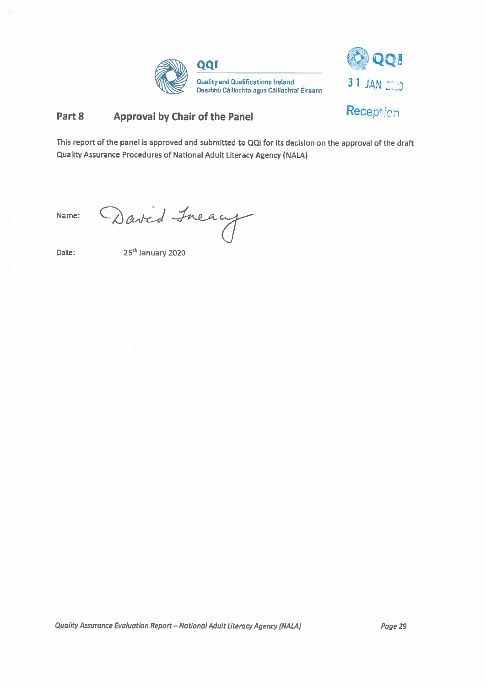



#### **Approval by Chair of the Panel** Part 8

This report of the panel is approved and submitted to QQI for its decision on the approval of the draft Quality Assurance Procedures of National Adult Literacy Agency (NALA)

Name:

Daved Ineauf

Date:

25<sup>th</sup> January 2020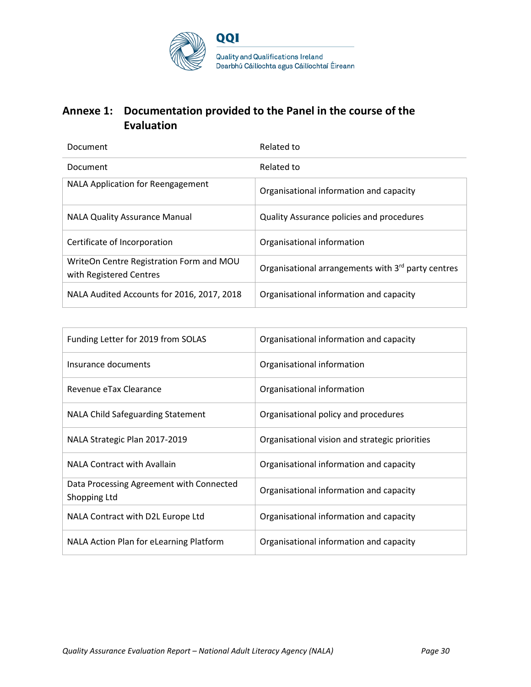

# **Annexe 1: Documentation provided to the Panel in the course of the Evaluation**

| <b>Document</b>                                                     | Related to                                         |
|---------------------------------------------------------------------|----------------------------------------------------|
| Document                                                            | Related to                                         |
| <b>NALA Application for Reengagement</b>                            | Organisational information and capacity            |
| <b>NALA Quality Assurance Manual</b>                                | Quality Assurance policies and procedures          |
| Certificate of Incorporation                                        | Organisational information                         |
| WriteOn Centre Registration Form and MOU<br>with Registered Centres | Organisational arrangements with 3rd party centres |
| NALA Audited Accounts for 2016, 2017, 2018                          | Organisational information and capacity            |

| Funding Letter for 2019 from SOLAS                       | Organisational information and capacity        |
|----------------------------------------------------------|------------------------------------------------|
| Insurance documents                                      | Organisational information                     |
| Revenue eTax Clearance                                   | Organisational information                     |
| <b>NALA Child Safeguarding Statement</b>                 | Organisational policy and procedures           |
| NALA Strategic Plan 2017-2019                            | Organisational vision and strategic priorities |
| <b>NALA Contract with Avallain</b>                       | Organisational information and capacity        |
| Data Processing Agreement with Connected<br>Shopping Ltd | Organisational information and capacity        |
| NALA Contract with D2L Europe Ltd                        | Organisational information and capacity        |
| NALA Action Plan for eLearning Platform                  | Organisational information and capacity        |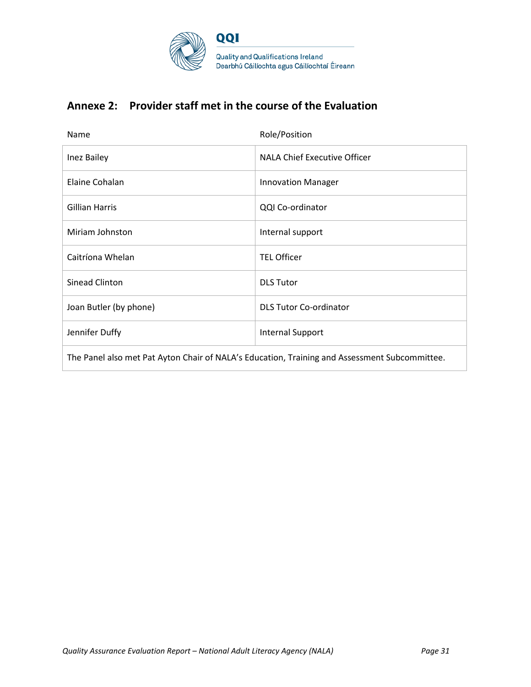

# **Annexe 2: Provider staff met in the course of the Evaluation**

| Name                                                                                          | Role/Position                 |
|-----------------------------------------------------------------------------------------------|-------------------------------|
| Inez Bailey                                                                                   | NALA Chief Executive Officer  |
| Elaine Cohalan                                                                                | <b>Innovation Manager</b>     |
| <b>Gillian Harris</b>                                                                         | QQI Co-ordinator              |
| Miriam Johnston                                                                               | Internal support              |
| Caitríona Whelan                                                                              | <b>TEL Officer</b>            |
| Sinead Clinton                                                                                | <b>DLS Tutor</b>              |
| Joan Butler (by phone)                                                                        | <b>DLS Tutor Co-ordinator</b> |
| Jennifer Duffy                                                                                | <b>Internal Support</b>       |
| The Panel also met Pat Ayton Chair of NALA's Education, Training and Assessment Subcommittee. |                               |